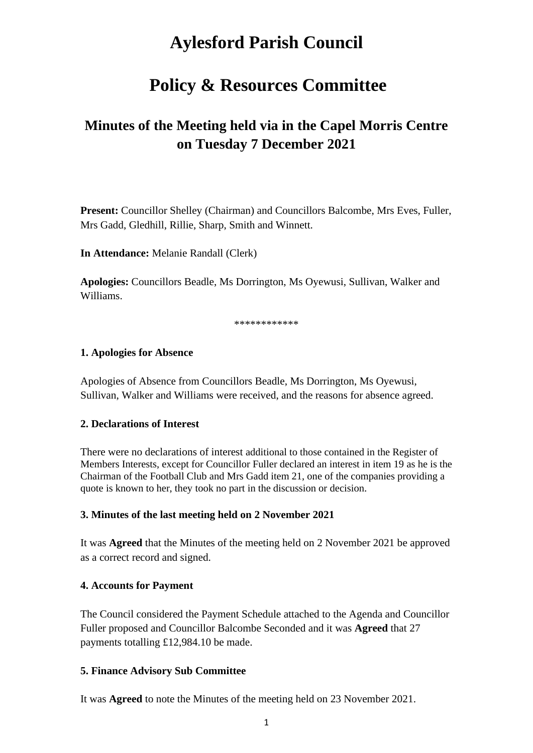# **Aylesford Parish Council**

# **Policy & Resources Committee**

# **Minutes of the Meeting held via in the Capel Morris Centre on Tuesday 7 December 2021**

**Present:** Councillor Shelley (Chairman) and Councillors Balcombe, Mrs Eves, Fuller, Mrs Gadd, Gledhill, Rillie, Sharp, Smith and Winnett.

**In Attendance:** Melanie Randall (Clerk)

**Apologies:** Councillors Beadle, Ms Dorrington, Ms Oyewusi, Sullivan, Walker and Williams.

\*\*\*\*\*\*\*\*\*\*\*

#### **1. Apologies for Absence**

Apologies of Absence from Councillors Beadle, Ms Dorrington, Ms Oyewusi, Sullivan, Walker and Williams were received, and the reasons for absence agreed.

#### **2. Declarations of Interest**

There were no declarations of interest additional to those contained in the Register of Members Interests, except for Councillor Fuller declared an interest in item 19 as he is the Chairman of the Football Club and Mrs Gadd item 21, one of the companies providing a quote is known to her, they took no part in the discussion or decision.

#### **3. Minutes of the last meeting held on 2 November 2021**

It was **Agreed** that the Minutes of the meeting held on 2 November 2021 be approved as a correct record and signed.

#### **4. Accounts for Payment**

The Council considered the Payment Schedule attached to the Agenda and Councillor Fuller proposed and Councillor Balcombe Seconded and it was **Agreed** that 27 payments totalling £12,984.10 be made.

#### **5. Finance Advisory Sub Committee**

It was **Agreed** to note the Minutes of the meeting held on 23 November 2021.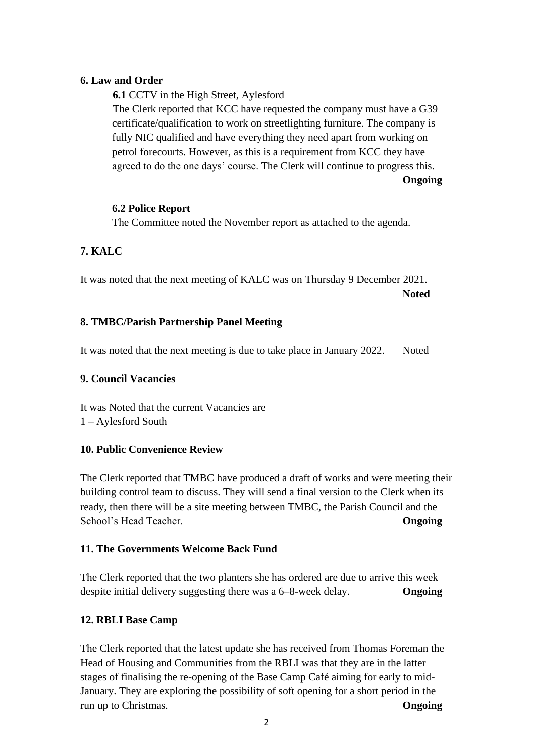#### **6. Law and Order**

**6.1** CCTV in the High Street, Aylesford The Clerk reported that KCC have requested the company must have a G39 certificate/qualification to work on streetlighting furniture. The company is fully NIC qualified and have everything they need apart from working on petrol forecourts. However, as this is a requirement from KCC they have agreed to do the one days' course. The Clerk will continue to progress this.

**Ongoing**

## **6.2 Police Report**

The Committee noted the November report as attached to the agenda.

# **7. KALC**

It was noted that the next meeting of KALC was on Thursday 9 December 2021. **Noted**

## **8. TMBC/Parish Partnership Panel Meeting**

It was noted that the next meeting is due to take place in January 2022. Noted

#### **9. Council Vacancies**

It was Noted that the current Vacancies are 1 – Aylesford South

# **10. Public Convenience Review**

The Clerk reported that TMBC have produced a draft of works and were meeting their building control team to discuss. They will send a final version to the Clerk when its ready, then there will be a site meeting between TMBC, the Parish Council and the School's Head Teacher. **Ongoing**

# **11. The Governments Welcome Back Fund**

The Clerk reported that the two planters she has ordered are due to arrive this week despite initial delivery suggesting there was a 6–8-week delay. **Ongoing**

# **12. RBLI Base Camp**

The Clerk reported that the latest update she has received from Thomas Foreman the Head of Housing and Communities from the RBLI was that they are in the latter stages of finalising the re-opening of the Base Camp Café aiming for early to mid-January. They are exploring the possibility of soft opening for a short period in the run up to Christmas. **Ongoing**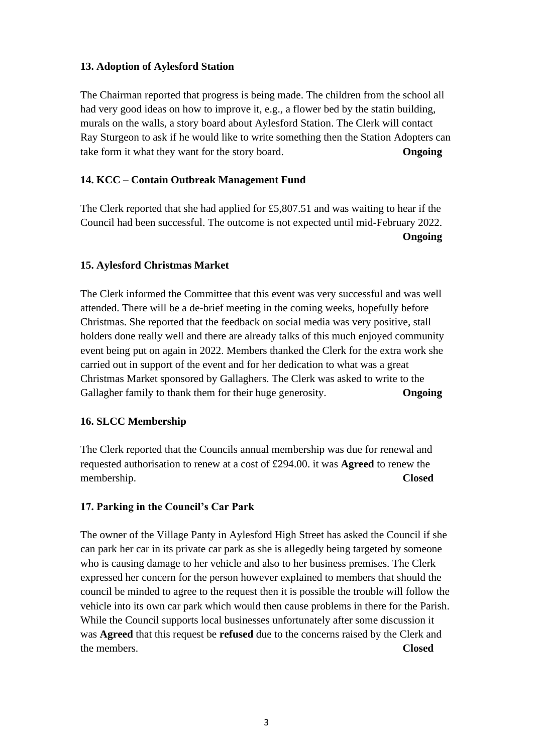#### **13. Adoption of Aylesford Station**

The Chairman reported that progress is being made. The children from the school all had very good ideas on how to improve it, e.g., a flower bed by the statin building, murals on the walls, a story board about Aylesford Station. The Clerk will contact Ray Sturgeon to ask if he would like to write something then the Station Adopters can take form it what they want for the story board. **Ongoing**

## **14. KCC – Contain Outbreak Management Fund**

The Clerk reported that she had applied for £5,807.51 and was waiting to hear if the Council had been successful. The outcome is not expected until mid-February 2022. **Ongoing**

#### **15. Aylesford Christmas Market**

The Clerk informed the Committee that this event was very successful and was well attended. There will be a de-brief meeting in the coming weeks, hopefully before Christmas. She reported that the feedback on social media was very positive, stall holders done really well and there are already talks of this much enjoyed community event being put on again in 2022. Members thanked the Clerk for the extra work she carried out in support of the event and for her dedication to what was a great Christmas Market sponsored by Gallaghers. The Clerk was asked to write to the Gallagher family to thank them for their huge generosity. **Ongoing**

# **16. SLCC Membership**

The Clerk reported that the Councils annual membership was due for renewal and requested authorisation to renew at a cost of £294.00. it was **Agreed** to renew the membership. **Closed**

# **17. Parking in the Council's Car Park**

The owner of the Village Panty in Aylesford High Street has asked the Council if she can park her car in its private car park as she is allegedly being targeted by someone who is causing damage to her vehicle and also to her business premises. The Clerk expressed her concern for the person however explained to members that should the council be minded to agree to the request then it is possible the trouble will follow the vehicle into its own car park which would then cause problems in there for the Parish. While the Council supports local businesses unfortunately after some discussion it was **Agreed** that this request be **refused** due to the concerns raised by the Clerk and the members. **Closed**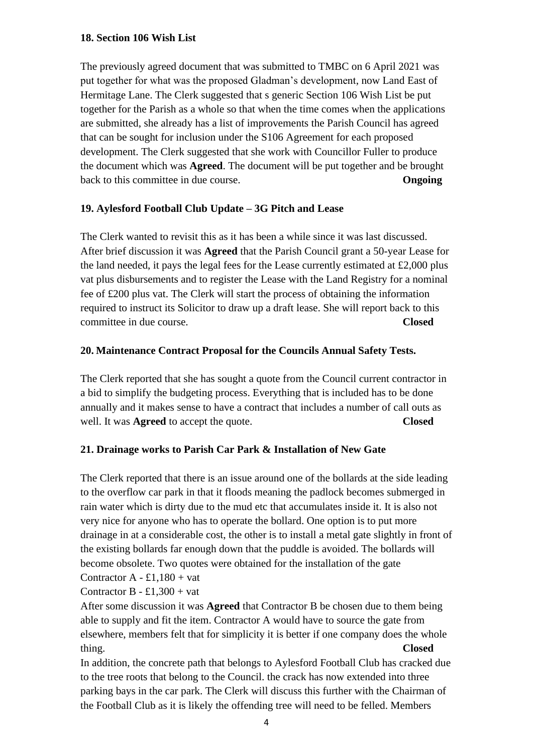#### **18. Section 106 Wish List**

The previously agreed document that was submitted to TMBC on 6 April 2021 was put together for what was the proposed Gladman's development, now Land East of Hermitage Lane. The Clerk suggested that s generic Section 106 Wish List be put together for the Parish as a whole so that when the time comes when the applications are submitted, she already has a list of improvements the Parish Council has agreed that can be sought for inclusion under the S106 Agreement for each proposed development. The Clerk suggested that she work with Councillor Fuller to produce the document which was **Agreed**. The document will be put together and be brought back to this committee in due course. **Ongoing**

## **19. Aylesford Football Club Update – 3G Pitch and Lease**

The Clerk wanted to revisit this as it has been a while since it was last discussed. After brief discussion it was **Agreed** that the Parish Council grant a 50-year Lease for the land needed, it pays the legal fees for the Lease currently estimated at  $\pounds2,000$  plus vat plus disbursements and to register the Lease with the Land Registry for a nominal fee of £200 plus vat. The Clerk will start the process of obtaining the information required to instruct its Solicitor to draw up a draft lease. She will report back to this committee in due course. **Closed**

## **20. Maintenance Contract Proposal for the Councils Annual Safety Tests.**

The Clerk reported that she has sought a quote from the Council current contractor in a bid to simplify the budgeting process. Everything that is included has to be done annually and it makes sense to have a contract that includes a number of call outs as well. It was **Agreed** to accept the quote. **Closed**

# **21. Drainage works to Parish Car Park & Installation of New Gate**

The Clerk reported that there is an issue around one of the bollards at the side leading to the overflow car park in that it floods meaning the padlock becomes submerged in rain water which is dirty due to the mud etc that accumulates inside it. It is also not very nice for anyone who has to operate the bollard. One option is to put more drainage in at a considerable cost, the other is to install a metal gate slightly in front of the existing bollards far enough down that the puddle is avoided. The bollards will become obsolete. Two quotes were obtained for the installation of the gate

# Contractor  $A - £1,180 + vat$

#### Contractor B -  $\pounds1,300 + \text{vat}$

After some discussion it was **Agreed** that Contractor B be chosen due to them being able to supply and fit the item. Contractor A would have to source the gate from elsewhere, members felt that for simplicity it is better if one company does the whole thing. **Closed**

In addition, the concrete path that belongs to Aylesford Football Club has cracked due to the tree roots that belong to the Council. the crack has now extended into three parking bays in the car park. The Clerk will discuss this further with the Chairman of the Football Club as it is likely the offending tree will need to be felled. Members